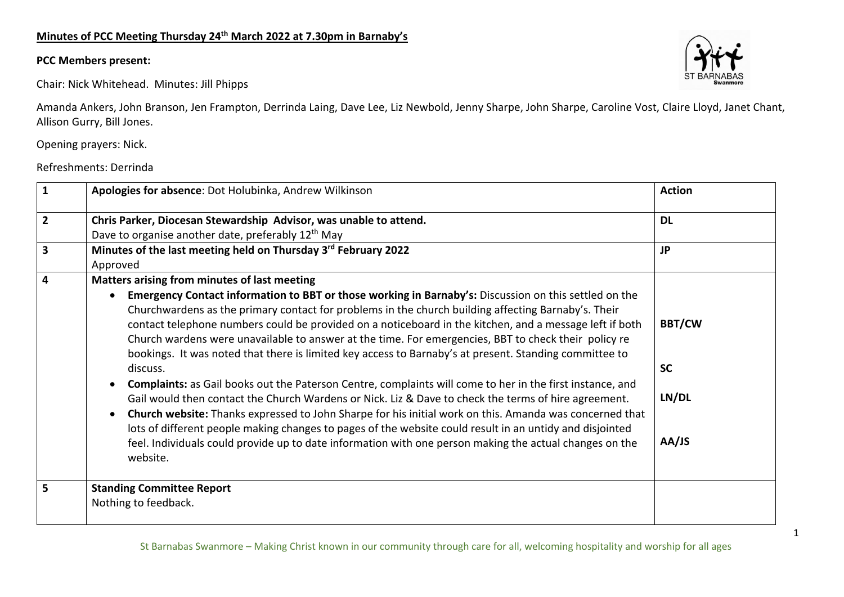## **Minutes of PCC Meeting Thursday 24th March 2022 at 7.30pm in Barnaby's**

## **PCC Members present:**

Chair: Nick Whitehead. Minutes: Jill Phipps

Amanda Ankers, John Branson, Jen Frampton, Derrinda Laing, Dave Lee, Liz Newbold, Jenny Sharpe, John Sharpe, Caroline Vost, Claire Lloyd, Janet Chant, Allison Gurry, Bill Jones.

Opening prayers: Nick.

Refreshments: Derrinda

| $\mathbf{1}$            | Apologies for absence: Dot Holubinka, Andrew Wilkinson                                                                                                                                                                                                                                                                                                                                                                                                                                                                                                                                                                                                                                                                                                                                                                                                                                                                                                                                                                                                                                                                                                                                                    | <b>Action</b>                                |
|-------------------------|-----------------------------------------------------------------------------------------------------------------------------------------------------------------------------------------------------------------------------------------------------------------------------------------------------------------------------------------------------------------------------------------------------------------------------------------------------------------------------------------------------------------------------------------------------------------------------------------------------------------------------------------------------------------------------------------------------------------------------------------------------------------------------------------------------------------------------------------------------------------------------------------------------------------------------------------------------------------------------------------------------------------------------------------------------------------------------------------------------------------------------------------------------------------------------------------------------------|----------------------------------------------|
| $\overline{2}$          | Chris Parker, Diocesan Stewardship Advisor, was unable to attend.<br>Dave to organise another date, preferably 12 <sup>th</sup> May                                                                                                                                                                                                                                                                                                                                                                                                                                                                                                                                                                                                                                                                                                                                                                                                                                                                                                                                                                                                                                                                       | <b>DL</b>                                    |
| $\overline{\mathbf{3}}$ | Minutes of the last meeting held on Thursday 3rd February 2022<br>Approved                                                                                                                                                                                                                                                                                                                                                                                                                                                                                                                                                                                                                                                                                                                                                                                                                                                                                                                                                                                                                                                                                                                                | <b>JP</b>                                    |
| 4                       | Matters arising from minutes of last meeting<br>Emergency Contact information to BBT or those working in Barnaby's: Discussion on this settled on the<br>$\bullet$<br>Churchwardens as the primary contact for problems in the church building affecting Barnaby's. Their<br>contact telephone numbers could be provided on a noticeboard in the kitchen, and a message left if both<br>Church wardens were unavailable to answer at the time. For emergencies, BBT to check their policy re<br>bookings. It was noted that there is limited key access to Barnaby's at present. Standing committee to<br>discuss.<br><b>Complaints:</b> as Gail books out the Paterson Centre, complaints will come to her in the first instance, and<br>Gail would then contact the Church Wardens or Nick. Liz & Dave to check the terms of hire agreement.<br>Church website: Thanks expressed to John Sharpe for his initial work on this. Amanda was concerned that<br>$\bullet$<br>lots of different people making changes to pages of the website could result in an untidy and disjointed<br>feel. Individuals could provide up to date information with one person making the actual changes on the<br>website. | <b>BBT/CW</b><br><b>SC</b><br>LN/DL<br>AA/JS |
| 5                       | <b>Standing Committee Report</b><br>Nothing to feedback.                                                                                                                                                                                                                                                                                                                                                                                                                                                                                                                                                                                                                                                                                                                                                                                                                                                                                                                                                                                                                                                                                                                                                  |                                              |

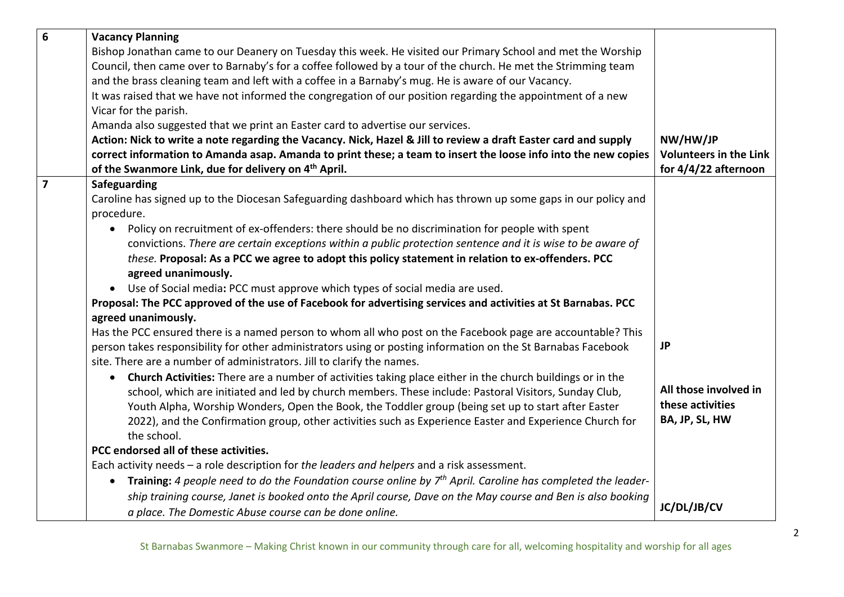| 6              | <b>Vacancy Planning</b>                                                                                                    |                               |
|----------------|----------------------------------------------------------------------------------------------------------------------------|-------------------------------|
|                | Bishop Jonathan came to our Deanery on Tuesday this week. He visited our Primary School and met the Worship                |                               |
|                | Council, then came over to Barnaby's for a coffee followed by a tour of the church. He met the Strimming team              |                               |
|                | and the brass cleaning team and left with a coffee in a Barnaby's mug. He is aware of our Vacancy.                         |                               |
|                | It was raised that we have not informed the congregation of our position regarding the appointment of a new                |                               |
|                | Vicar for the parish.                                                                                                      |                               |
|                | Amanda also suggested that we print an Easter card to advertise our services.                                              |                               |
|                | Action: Nick to write a note regarding the Vacancy. Nick, Hazel & Jill to review a draft Easter card and supply            | NW/HW/JP                      |
|                | correct information to Amanda asap. Amanda to print these; a team to insert the loose info into the new copies             | <b>Volunteers in the Link</b> |
|                | of the Swanmore Link, due for delivery on 4 <sup>th</sup> April.                                                           | for 4/4/22 afternoon          |
| $\overline{7}$ | Safeguarding                                                                                                               |                               |
|                | Caroline has signed up to the Diocesan Safeguarding dashboard which has thrown up some gaps in our policy and              |                               |
|                | procedure.                                                                                                                 |                               |
|                | Policy on recruitment of ex-offenders: there should be no discrimination for people with spent<br>$\bullet$                |                               |
|                | convictions. There are certain exceptions within a public protection sentence and it is wise to be aware of                |                               |
|                | these. Proposal: As a PCC we agree to adopt this policy statement in relation to ex-offenders. PCC                         |                               |
|                | agreed unanimously.                                                                                                        |                               |
|                | • Use of Social media: PCC must approve which types of social media are used.                                              |                               |
|                | Proposal: The PCC approved of the use of Facebook for advertising services and activities at St Barnabas. PCC              |                               |
|                | agreed unanimously.                                                                                                        |                               |
|                | Has the PCC ensured there is a named person to whom all who post on the Facebook page are accountable? This                |                               |
|                | person takes responsibility for other administrators using or posting information on the St Barnabas Facebook              | <b>JP</b>                     |
|                | site. There are a number of administrators. Jill to clarify the names.                                                     |                               |
|                | • Church Activities: There are a number of activities taking place either in the church buildings or in the                |                               |
|                | school, which are initiated and led by church members. These include: Pastoral Visitors, Sunday Club,                      | All those involved in         |
|                | Youth Alpha, Worship Wonders, Open the Book, the Toddler group (being set up to start after Easter                         | these activities              |
|                | 2022), and the Confirmation group, other activities such as Experience Easter and Experience Church for                    | BA, JP, SL, HW                |
|                | the school.                                                                                                                |                               |
|                | PCC endorsed all of these activities.                                                                                      |                               |
|                | Each activity needs - a role description for the leaders and helpers and a risk assessment.                                |                               |
|                | Training: 4 people need to do the Foundation course online by $7th$ April. Caroline has completed the leader-<br>$\bullet$ |                               |
|                | ship training course, Janet is booked onto the April course, Dave on the May course and Ben is also booking                | JC/DL/JB/CV                   |
|                | a place. The Domestic Abuse course can be done online.                                                                     |                               |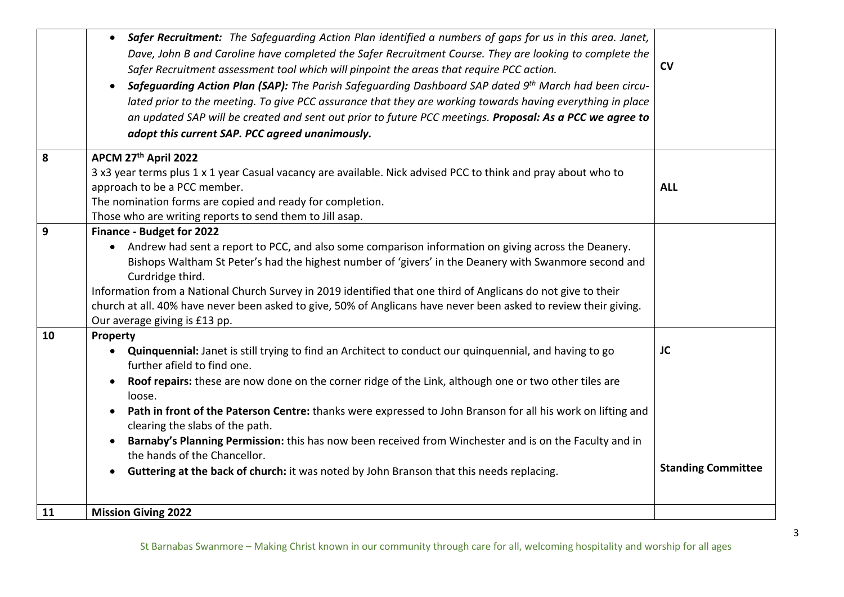|    | <b>Safer Recruitment:</b> The Safeguarding Action Plan identified a numbers of gaps for us in this area. Janet,<br>$\bullet$<br>Dave, John B and Caroline have completed the Safer Recruitment Course. They are looking to complete the<br>Safer Recruitment assessment tool which will pinpoint the areas that require PCC action.<br>Safeguarding Action Plan (SAP): The Parish Safeguarding Dashboard SAP dated 9 <sup>th</sup> March had been circu-<br>lated prior to the meeting. To give PCC assurance that they are working towards having everything in place<br>an updated SAP will be created and sent out prior to future PCC meetings. Proposal: As a PCC we agree to<br>adopt this current SAP. PCC agreed unanimously. | $\mathsf{cv}$                   |
|----|---------------------------------------------------------------------------------------------------------------------------------------------------------------------------------------------------------------------------------------------------------------------------------------------------------------------------------------------------------------------------------------------------------------------------------------------------------------------------------------------------------------------------------------------------------------------------------------------------------------------------------------------------------------------------------------------------------------------------------------|---------------------------------|
| 8  | APCM 27th April 2022<br>3 x3 year terms plus 1 x 1 year Casual vacancy are available. Nick advised PCC to think and pray about who to                                                                                                                                                                                                                                                                                                                                                                                                                                                                                                                                                                                                 |                                 |
|    | approach to be a PCC member.<br>The nomination forms are copied and ready for completion.<br>Those who are writing reports to send them to Jill asap.                                                                                                                                                                                                                                                                                                                                                                                                                                                                                                                                                                                 | <b>ALL</b>                      |
| 9  | Finance - Budget for 2022<br>• Andrew had sent a report to PCC, and also some comparison information on giving across the Deanery.<br>Bishops Waltham St Peter's had the highest number of 'givers' in the Deanery with Swanmore second and<br>Curdridge third.<br>Information from a National Church Survey in 2019 identified that one third of Anglicans do not give to their<br>church at all. 40% have never been asked to give, 50% of Anglicans have never been asked to review their giving.<br>Our average giving is £13 pp.                                                                                                                                                                                                 |                                 |
| 10 | Property<br>Quinquennial: Janet is still trying to find an Architect to conduct our quinquennial, and having to go<br>further afield to find one.<br>Roof repairs: these are now done on the corner ridge of the Link, although one or two other tiles are<br>loose.<br>Path in front of the Paterson Centre: thanks were expressed to John Branson for all his work on lifting and<br>$\bullet$<br>clearing the slabs of the path.<br>Barnaby's Planning Permission: this has now been received from Winchester and is on the Faculty and in<br>the hands of the Chancellor.<br>Guttering at the back of church: it was noted by John Branson that this needs replacing.                                                             | JC<br><b>Standing Committee</b> |
| 11 | <b>Mission Giving 2022</b>                                                                                                                                                                                                                                                                                                                                                                                                                                                                                                                                                                                                                                                                                                            |                                 |